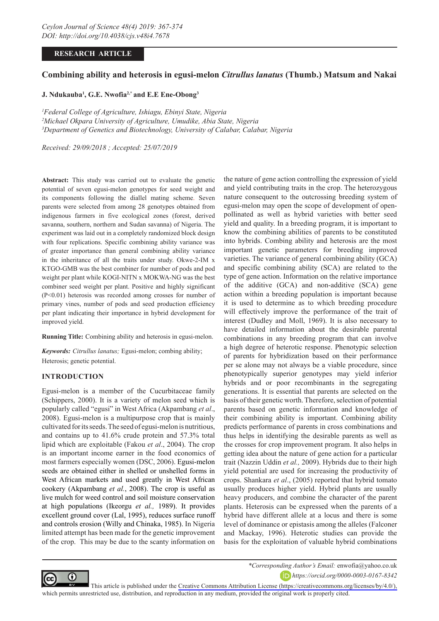# **RESEARCH ARTICLE**

# **Combining ability and heterosis in egusi-melon** *Citrullus lanatus* **(Thumb.) Matsum and Nakai**

## **J. Ndukauba1 , G.E. Nwofia2,\* and E.E Ene-Obong3**

*1 Federal College of Agriculture, Ishiagu, Ebinyi State, Nigeria 2 Michael Okpara University of Agriculture, Umudike, Abia State, Nigeria 3 Department of Genetics and Biotechnology, University of Calabar, Calabar, Nigeria*

*Received: 29/09/2018 ; Accepted: 25/07/2019* 

**Abstract:** This study was carried out to evaluate the genetic potential of seven egusi-melon genotypes for seed weight and its components following the diallel mating scheme. Seven parents were selected from among 28 genotypes obtained from indigenous farmers in five ecological zones (forest, derived savanna, southern, northern and Sudan savanna) of Nigeria. The experiment was laid out in a completely randomized block design with four replications. Specific combining ability variance was of greater importance than general combining ability variance in the inheritance of all the traits under study. Okwe-2-IM x KTGO-GMB was the best combiner for number of pods and pod weight per plant while KOGI-NITN x MOKWA-NG was the best combiner seed weight per plant. Positive and highly significant (P<0.01) heterosis was recorded among crosses for number of primary vines, number of pods and seed production efficiency per plant indicating their importance in hybrid development for improved yield.

**Running Title:** Combining ability and heterosis in egusi-melon.

*Keywords: Citrullus lanatus;* Egusi-melon; combing ability; Heterosis; genetic potential.

## **INTRODUCTION**

Egusi-melon is a member of the Cucurbitaceae family (Schippers, 2000). It is a variety of melon seed which is popularly called "egusi" in West Africa (Akpambang *et al*., 2008). Egusi-melon is a multipurpose crop that is mainly cultivated for its seeds. The seed of egusi-melon is nutritious, and contains up to 41.6% crude protein and 57.3% total lipid which are exploitable (Fakou *et al*., 2004). The crop is an important income earner in the food economics of most farmers especially women (DSC, 2006). Egusi-melon seeds are obtained either in shelled or unshelled forms in West African markets and used greatly in West African cookery (Akpambang *et al.*, 2008). The crop is useful as live mulch for weed control and soil moisture conservation at high populations (Ikeorgu *et al.,* 1989). It provides excellent ground cover (Lal, 1995), reduces surface runoff and controls erosion (Willy and Chinaka, 1985). In Nigeria limited attempt has been made for the genetic improvement of the crop. This may be due to the scanty information on

the nature of gene action controlling the expression of yield and yield contributing traits in the crop. The heterozygous nature consequent to the outcrossing breeding system of egusi-melon may open the scope of development of openpollinated as well as hybrid varieties with better seed yield and quality. In a breeding program, it is important to know the combining abilities of parents to be constituted into hybrids. Combing ability and heterosis are the most important genetic parameters for breeding improved varieties. The variance of general combining ability (GCA) and specific combining ability (SCA) are related to the type of gene action. Information on the relative importance of the additive (GCA) and non-additive (SCA) gene action within a breeding population is important because it is used to determine as to which breeding procedure will effectively improve the performance of the trait of interest (Dudley and Moll, 1969). It is also necessary to have detailed information about the desirable parental combinations in any breeding program that can involve a high degree of heterotic response. Phenotypic selection of parents for hybridization based on their performance per se alone may not always be a viable procedure, since phenotypically superior genotypes may yield inferior hybrids and or poor recombinants in the segregating generations. It is essential that parents are selected on the basis of their genetic worth. Therefore, selection of potential parents based on genetic information and knowledge of their combining ability is important. Combining ability predicts performance of parents in cross combinations and thus helps in identifying the desirable parents as well as the crosses for crop improvement program. It also helps in getting idea about the nature of gene action for a particular trait (Nazzin Uddin *et al.,* 2009). Hybrids due to their high yield potential are used for increasing the productivity of crops. Shankara *et al*., (2005) reported that hybrid tomato usually produces higher yield. Hybrid plants are usually heavy producers, and combine the character of the parent plants. Heterosis can be expressed when the parents of a hybrid have different allele at a locus and there is some level of dominance or epistasis among the alleles (Falconer and Mackay, 1996). Heterotic studies can provide the basis for the exploitation of valuable hybrid combinations



*\*Corresponding Author's Email:* enwofia@yahoo.co.uk

*https://orcid.org/0000-0003-0167-8342* 

This article is published under the [Creative Commons Attribution License \(https://creativecommons.org/licenses/by/4.0/\),](https://creativecommons.org/licenses/by/4.0/)  which permits unrestricted use, distribution, and reproduction in any medium, provided the original work is properly cited.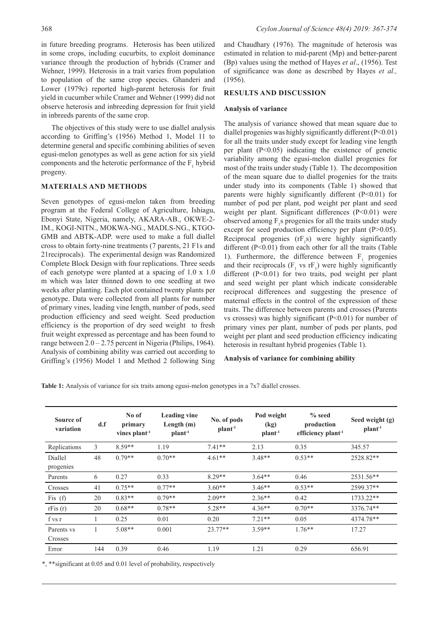in future breeding programs. Heterosis has been utilized in some crops, including cucurbits, to exploit dominance variance through the production of hybrids (Cramer and Wehner, 1999). Heterosis in a trait varies from population to population of the same crop species. Ghanderi and Lower (1979c) reported high-parent heterosis for fruit yield in cucumber while Cramer and Wehner (1999) did not observe heterosis and inbreeding depression for fruit yield in inbreeds parents of the same crop.

The objectives of this study were to use diallel analysis according to Griffing's (1956) Method 1, Model 11 to determine general and specific combining abilities of seven egusi-melon genotypes as well as gene action for six yield components and the heterotic performance of the  $F_1$  hybrid progeny.

## **MATERIALS AND METHODS**

Seven genotypes of egusi-melon taken from breeding program at the Federal College of Agriculture, Ishiagu, Ebonyi State, Nigeria, namely, AKARA-AB., OKWE-2- IM., KOGI-NITN., MOKWA-NG., MADLS-NG., KTGO-GMB and ABTK-ADP. were used to make a full diallel cross to obtain forty-nine treatments (7 parents, 21 F1s and 21reciprocals). The experimental design was Randomized Complete Block Design with four replications. Three seeds of each genotype were planted at a spacing of 1.0 x 1.0 m which was later thinned down to one seedling at two weeks after planting. Each plot contained twenty plants per genotype. Data were collected from all plants for number of primary vines, leading vine length, number of pods, seed production efficiency and seed weight. Seed production efficiency is the proportion of dry seed weight to fresh fruit weight expressed as percentage and has been found to range between 2.0 – 2.75 percent in Nigeria (Philips, 1964). Analysis of combining ability was carried out according to Griffing's (1956) Model 1 and Method 2 following Sing

and Chaudhary (1976). The magnitude of heterosis was estimated in relation to mid-parent (Mp) and better-parent (Bp) values using the method of Hayes *et al*., (1956). Test of significance was done as described by Hayes *et al.,* (1956).

## **RESULTS AND DISCUSSION**

#### **Analysis of variance**

The analysis of variance showed that mean square due to diallel progenies was highly significantly different (P<0.01) for all the traits under study except for leading vine length per plant  $(P<0.05)$  indicating the existence of genetic variability among the egusi-melon diallel progenies for most of the traits under study (Table 1). The decomposition of the mean square due to diallel progenies for the traits under study into its components (Table 1) showed that parents were highly significantly different (P<0.01) for number of pod per plant, pod weight per plant and seed weight per plant. Significant differences (P<0.01) were observed among  $F_1$ s progenies for all the traits under study except for seed production efficiency per plant (P>0.05). Reciprocal progenies  $(rF_1s)$  were highly significantly different (P<0.01) from each other for all the traits (Table 1). Furthermore, the difference between  $F_1$  progenies and their reciprocals  $(F_1$  vs  $rF_1$ ) were highly significantly different (P<0.01) for two traits, pod weight per plant and seed weight per plant which indicate considerable reciprocal differences and suggesting the presence of maternal effects in the control of the expression of these traits. The difference between parents and crosses (Parents vs crosses) was highly significant (P<0.01) for number of primary vines per plant, number of pods per plants, pod weight per plant and seed production efficiency indicating heterosis in resultant hybrid progenies (Table 1).

## **Analysis of variance for combining ability**

**Table 1:** Analysis of variance for six traits among egusi-melon genotypes in a 7x7 diallel crosses.

| Source of<br>variation | d.f | No of<br>primary<br>vines $plant-1$ | <b>Leading vine</b><br>Length $(m)$<br>$plant-1$ | No. of pods<br>plan <sup>1</sup> | Pod weight<br>(kg)<br>$plant-1$ | $%$ seed<br>production<br>efficiency plant <sup>-1</sup> | Seed weight (g)<br>$plant-1$ |  |
|------------------------|-----|-------------------------------------|--------------------------------------------------|----------------------------------|---------------------------------|----------------------------------------------------------|------------------------------|--|
| Replications           | 3   | $8.59**$                            | 1.19                                             | $7.41**$<br>2.13<br>0.35         |                                 |                                                          | 345.57                       |  |
| Diallel<br>progenies   | 48  | $0.79**$                            | $0.70**$                                         | $4.61**$<br>$3.48**$             |                                 | $0.53**$                                                 | 2528.82**                    |  |
| Parents                | 6   | 0.27                                | 0.33                                             | $8.29**$                         | $3.64**$                        | 0.46                                                     | 2531.56**                    |  |
| Crosses                | 41  | $0.75**$                            | $0.77**$                                         | $3.60**$                         | $3.46**$                        | $0.53**$                                                 | 2599.37**                    |  |
| Fis $(f)$              | 20  | $0.83**$                            | $0.79**$                                         | $2.09**$                         | $2.36**$                        | 0.42                                                     | 1733.22**                    |  |
| rFis(r)                | 20  | $0.68**$                            | $0.78**$                                         | $5.28**$                         | $4.36**$                        | $0.70**$                                                 | 3376.74**                    |  |
| f vs r                 |     | 0.25                                | 0.01                                             | 0.20                             | $7.21**$                        | 0.05                                                     | 4374.78**                    |  |
| Parents vs<br>Crosses  |     | $5.08**$                            | 0.001                                            | $23.77**$                        | $3.59**$                        | $1.76**$                                                 | 17.27                        |  |
| Error                  | 144 | 0.39                                | 0.46                                             | 1.19                             | 1.21                            | 0.29                                                     | 656.91                       |  |

\*, \*\*significant at 0.05 and 0.01 level of probability, respectively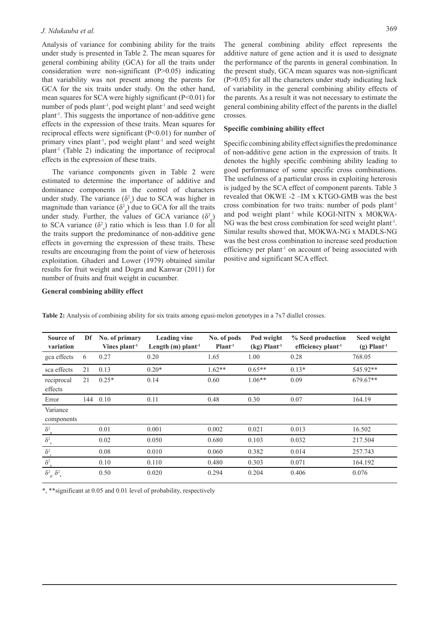Analysis of variance for combining ability for the traits under study is presented in Table 2. The mean squares for general combining ability (GCA) for all the traits under consideration were non-significant (P>0.05) indicating that variability was not present among the parents for GCA for the six traits under study. On the other hand, mean squares for SCA were highly significant (P<0.01) for number of pods plant<sup>-1</sup>, pod weight plant<sup>-1</sup> and seed weight plant-1. This suggests the importance of non-additive gene effects in the expression of these traits. Mean squares for reciprocal effects were significant (P<0.01) for number of primary vines plant<sup>-1</sup>, pod weight plant<sup>-1</sup> and seed weight plant-1 (Table 2) indicating the importance of reciprocal effects in the expression of these traits.

The variance components given in Table 2 were estimated to determine the importance of additive and dominance components in the control of characters under study. The variance  $(\delta^2)$  due to SCA was higher in magnitude than variance  $(\delta^2_{g})$  due to GCA for all the traits under study. Further, the values of GCA variance  $(\delta^2_g)$ to SCA variance  $(\delta^2)$  ratio which is less than 1.0 for all the traits support the predominance of non-additive gene effects in governing the expression of these traits. These results are encouraging from the point of view of heterosis exploitation. Ghaderi and Lower (1979) obtained similar results for fruit weight and Dogra and Kanwar (2011) for number of fruits and fruit weight in cucumber.

The general combining ability effect represents the additive nature of gene action and it is used to designate the performance of the parents in general combination. In the present study, GCA mean squares was non-significant  $(P>0.05)$  for all the characters under study indicating lack of variability in the general combining ability effects of the parents. As a result it was not necessary to estimate the general combining ability effect of the parents in the diallel crosses.

#### **Specific combining ability effect**

Specific combining ability effect signifies the predominance of non-additive gene action in the expression of traits. It denotes the highly specific combining ability leading to good performance of some specific cross combinations. The usefulness of a particular cross in exploiting heterosis is judged by the SCA effect of component parents. Table 3 revealed that OKWE -2 –IM x KTGO-GMB was the best cross combination for two traits: number of pods plant<sup>-1</sup> and pod weight plant<sup>1</sup> while KOGI-NITN x MOKWA-NG was the best cross combination for seed weight plant-1. Similar results showed that, MOKWA-NG x MADLS-NG was the best cross combination to increase seed production efficiency per plant<sup>1</sup> on account of being associated with positive and significant SCA effect.

#### **General combining ability effect**

| Source of<br>variation                                | Df  | No. of primary<br>Vines plant <sup>1</sup> | <b>Leading vine</b><br>Length $(m)$ plant <sup>-1</sup> | No. of pods<br>Plant <sup>1</sup> | Pod weight<br>$(kg)$ Plant <sup>1</sup> | % Seed production<br>efficiency plant <sup>-1</sup> | Seed weight<br>$(g)$ Plant <sup>-1</sup> |
|-------------------------------------------------------|-----|--------------------------------------------|---------------------------------------------------------|-----------------------------------|-----------------------------------------|-----------------------------------------------------|------------------------------------------|
| gca effects                                           | 6   | 0.27                                       | 0.20                                                    | 1.65                              | 1.00                                    | 0.28                                                | 768.05                                   |
| sca effects                                           | 21  | 0.13                                       | $0.20*$                                                 | $1.62**$                          | $0.65**$                                | $0.13*$                                             | 545.92**                                 |
| reciprocal<br>effects                                 | 21  | $0.25*$                                    | 0.14                                                    | 0.60                              | $1.06**$                                | 0.09                                                | 679.67**                                 |
| Error                                                 | 144 | 0.10                                       | 0.11                                                    | 0.48                              | 0.30                                    | 0.07                                                | 164.19                                   |
| Variance<br>components                                |     |                                            |                                                         |                                   |                                         |                                                     |                                          |
| $\delta^2_{\rm g}$                                    |     | 0.01                                       | 0.001                                                   | 0.002                             | 0.021                                   | 0.013                                               | 16.502                                   |
| $\delta^2_{\hbox{\tiny S}}$                           |     | 0.02                                       | 0.050                                                   | 0.680                             | 0.103                                   | 0.032                                               | 217.504                                  |
| $\delta^2$ <sub>r</sub>                               |     | 0.08                                       | 0.010                                                   | 0.060                             | 0.382                                   | 0.014                                               | 257.743                                  |
| $\delta^2_{\rm e}$                                    |     | 0.10                                       | 0.110                                                   | 0.480                             | 0.303                                   | 0.071                                               | 164.192                                  |
| $\delta^2_{~\textrm{g}}\!\!\!~\delta^2_{~\textrm{s}}$ |     | 0.50                                       | 0.020                                                   | 0.294                             | 0.204                                   | 0.406                                               | 0.076                                    |

**Table 2:** Analysis of combining ability for six traits among egusi-melon genotypes in a 7x7 diallel crosses.

\*, \*\*significant at 0.05 and 0.01 level of probability, respectively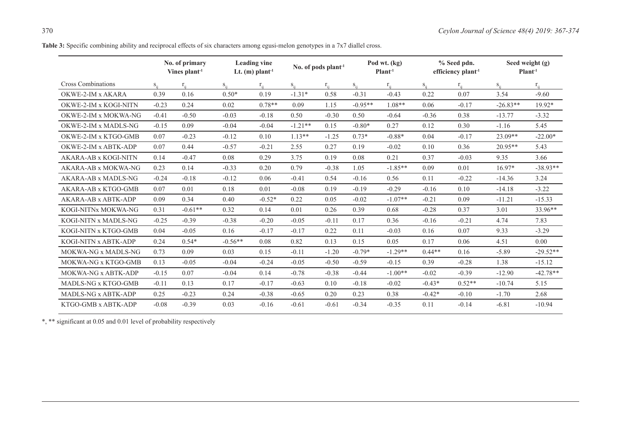Table 3: Specific combining ability and reciprocal effects of six characters among egusi-melon genotypes in a 7x7 diallel cross.

|                           | No. of primary<br>Vines $plant1$ |           | <b>Leading vine</b><br>Lt. $(m)$ plant <sup>-1</sup> |          | No. of pods $plant1$ |          | Pod wt. (kg)<br>Plant <sup>1</sup> |           | % Seed pdn.<br>efficiency plant <sup>-1</sup> |          | Seed weight (g)<br>Plant <sup>1</sup> |            |
|---------------------------|----------------------------------|-----------|------------------------------------------------------|----------|----------------------|----------|------------------------------------|-----------|-----------------------------------------------|----------|---------------------------------------|------------|
| <b>Cross Combinations</b> | $S_{ii}$                         | $r_{ii}$  | $S_{ii}$                                             | $r_{ii}$ | $S_{ii}$             | $r_{ii}$ | $S_{ii}$                           | $r_{ii}$  | $S_{i\bar{i}}$                                | $r_{ii}$ | $S_{ii}$                              | $r_{ii}$   |
| OKWE-2-IM x AKARA         | 0.39                             | 0.16      | $0.50*$                                              | 0.19     | $-1.31*$             | 0.58     | $-0.31$                            | $-0.43$   | 0.22                                          | 0.07     | 3.54                                  | $-9.60$    |
| OKWE-2-IM x KOGI-NITN     | $-0.23$                          | 0.24      | 0.02                                                 | $0.78**$ | 0.09                 | 1.15     | $-0.95**$                          | $1.08**$  | 0.06                                          | $-0.17$  | $-26.83**$                            | 19.92*     |
| OKWE-2-IM x MOKWA-NG      | $-0.41$                          | $-0.50$   | $-0.03$                                              | $-0.18$  | 0.50                 | $-0.30$  | 0.50                               | $-0.64$   | $-0.36$                                       | 0.38     | $-13.77$                              | $-3.32$    |
| OKWE-2-IM x MADLS-NG      | $-0.15$                          | 0.09      | $-0.04$                                              | $-0.04$  | $-1.21**$            | 0.15     | $-0.80*$                           | 0.27      | 0.12                                          | 0.30     | $-1.16$                               | 5.45       |
| OKWE-2-IM x KTGO-GMB      | 0.07                             | $-0.23$   | $-0.12$                                              | 0.10     | $1.13**$             | $-1.25$  | $0.73*$                            | $-0.88*$  | 0.04                                          | $-0.17$  | $23.09**$                             | $-22.00*$  |
| OKWE-2-IM x ABTK-ADP      | 0.07                             | 0.44      | $-0.57$                                              | $-0.21$  | 2.55                 | 0.27     | 0.19                               | $-0.02$   | 0.10                                          | 0.36     | $20.95**$                             | 5.43       |
| AKARA-AB x KOGI-NITN      | 0.14                             | $-0.47$   | 0.08                                                 | 0.29     | 3.75                 | 0.19     | 0.08                               | 0.21      | 0.37                                          | $-0.03$  | 9.35                                  | 3.66       |
| AKARA-AB x MOKWA-NG       | 0.23                             | 0.14      | $-0.33$                                              | 0.20     | 0.79                 | $-0.38$  | 1.05                               | $-1.85**$ | 0.09                                          | 0.01     | $16.97*$                              | $-38.93**$ |
| AKARA-AB x MADLS-NG       | $-0.24$                          | $-0.18$   | $-0.12$                                              | 0.06     | $-0.41$              | 0.54     | $-0.16$                            | 0.56      | 0.11                                          | $-0.22$  | $-14.36$                              | 3.24       |
| AKARA-AB x KTGO-GMB       | 0.07                             | 0.01      | 0.18                                                 | 0.01     | $-0.08$              | 0.19     | $-0.19$                            | $-0.29$   | $-0.16$                                       | 0.10     | $-14.18$                              | $-3.22$    |
| AKARA-AB x ABTK-ADP       | 0.09                             | 0.34      | 0.40                                                 | $-0.52*$ | 0.22                 | 0.05     | $-0.02$                            | $-1.07**$ | $-0.21$                                       | 0.09     | $-11.21$                              | $-15.33$   |
| KOGI-NITNx MOKWA-NG       | 0.31                             | $-0.61**$ | 0.32                                                 | 0.14     | 0.01                 | 0.26     | 0.39                               | 0.68      | $-0.28$                                       | 0.37     | 3.01                                  | 33.96**    |
| KOGI-NITN x MADLS-NG      | $-0.25$                          | $-0.39$   | $-0.38$                                              | $-0.20$  | $-0.05$              | $-0.11$  | 0.17                               | 0.36      | $-0.16$                                       | $-0.21$  | 4.74                                  | 7.83       |
| KOGI-NITN x KTGO-GMB      | 0.04                             | $-0.05$   | 0.16                                                 | $-0.17$  | $-0.17$              | 0.22     | 0.11                               | $-0.03$   | 0.16                                          | 0.07     | 9.33                                  | $-3.29$    |
| KOGI-NITN x ABTK-ADP      | 0.24                             | $0.54*$   | $-0.56**$                                            | 0.08     | 0.82                 | 0.13     | 0.15                               | 0.05      | 0.17                                          | 0.06     | 4.51                                  | 0.00       |
| MOKWA-NG x MADLS-NG       | 0.73                             | 0.09      | 0.03                                                 | 0.15     | $-0.11$              | $-1.20$  | $-0.79*$                           | $-1.29**$ | $0.44**$                                      | 0.16     | $-5.89$                               | $-29.52**$ |
| MOKWA-NG x KTGO-GMB       | 0.13                             | $-0.05$   | $-0.04$                                              | $-0.24$  | $-0.05$              | $-0.50$  | $-0.59$                            | $-0.15$   | 0.39                                          | $-0.28$  | 1.38                                  | $-15.12$   |
| MOKWA-NG x ABTK-ADP       | $-0.15$                          | 0.07      | $-0.04$                                              | 0.14     | $-0.78$              | $-0.38$  | $-0.44$                            | $-1.00**$ | $-0.02$                                       | $-0.39$  | $-12.90$                              | $-42.78**$ |
| MADLS-NG x KTGO-GMB       | $-0.11$                          | 0.13      | 0.17                                                 | $-0.17$  | $-0.63$              | 0.10     | $-0.18$                            | $-0.02$   | $-0.43*$                                      | $0.52**$ | $-10.74$                              | 5.15       |
| MADLS-NG x ABTK-ADP       | 0.25                             | $-0.23$   | 0.24                                                 | $-0.38$  | $-0.65$              | 0.20     | 0.23                               | 0.38      | $-0.42*$                                      | $-0.10$  | $-1.70$                               | 2.68       |
| KTGO-GMB x ABTK-ADP       | $-0.08$                          | $-0.39$   | 0.03                                                 | $-0.16$  | $-0.61$              | $-0.61$  | $-0.34$                            | $-0.35$   | 0.11                                          | $-0.14$  | $-6.81$                               | $-10.94$   |

\*, \*\* significant at 0.05 and 0.01 level of probability respectively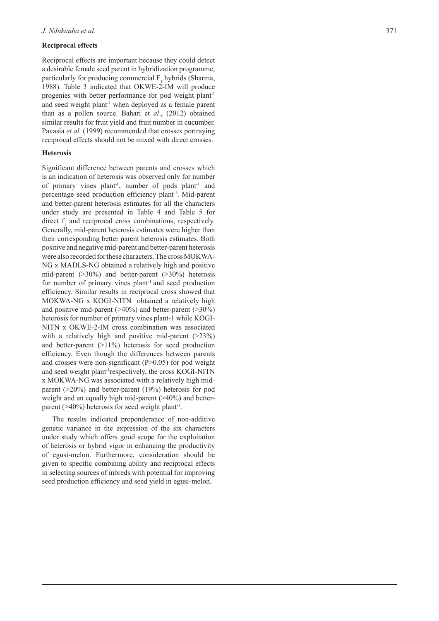## **Reciprocal effects**

Reciprocal effects are important because they could detect a desirable female seed parent in hybridization programme, particularly for producing commercial  $F_1$  hybrids (Sharma, 1988). Table 3 indicated that OKWE-2-IM will produce progenies with better performance for pod weight plant-1 and seed weight plant<sup>-1</sup> when deployed as a female parent than as a pollen source. Bahari et *al*., (2012) obtained similar results for fruit yield and fruit number in cucumber. Pavasia *et al.* (1999) recommended that crosses portraying reciprocal effects should not be mixed with direct crosses.

## **Heterosis**

Significant difference between parents and crosses which is an indication of heterosis was observed only for number of primary vines plant<sup>-1</sup>, number of pods plant<sup>-1</sup> and percentage seed production efficiency plant-1. Mid-parent and better-parent heterosis estimates for all the characters under study are presented in Table 4 and Table 5 for direct  $f_1$  and reciprocal cross combinations, respectively. Generally, mid-parent heterosis estimates were higher than their corresponding better parent heterosis estimates. Both positive and negative mid-parent and better-parent heterosis were also recorded for these characters. The cross MOKWA-NG x MADLS-NG obtained a relatively high and positive mid-parent  $(>30\%)$  and better-parent  $(>30\%)$  heterosis for number of primary vines plant<sup>-1</sup> and seed production efficiency. Similar results in reciprocal cross showed that MOKWA-NG x KOGI-NITN obtained a relatively high and positive mid-parent  $(>40\%)$  and better-parent  $(>30\%)$ heterosis for number of primary vines plant-1 while KOGI-NITN x OKWE-2-IM cross combination was associated with a relatively high and positive mid-parent  $(>23%)$ and better-parent (>11%) heterosis for seed production efficiency. Even though the differences between parents and crosses were non-significant  $(P>0.05)$  for pod weight and seed weight plant-1respectively, the cross KOGI-NITN x MOKWA-NG was associated with a relatively high midparent (>20%) and better-parent (19%) heterosis for pod weight and an equally high mid-parent ( $>40\%$ ) and betterparent ( $>40\%$ ) heterosis for seed weight plant<sup>-1</sup>.

The results indicated preponderance of non-additive genetic variance in the expression of the six characters under study which offers good scope for the exploitation of heterosis or hybrid vigor in enhancing the productivity of egusi-melon. Furthermore, consideration should be given to specific combining ability and reciprocal effects in selecting sources of inbreds with potential for improving seed production efficiency and seed yield in egusi-melon.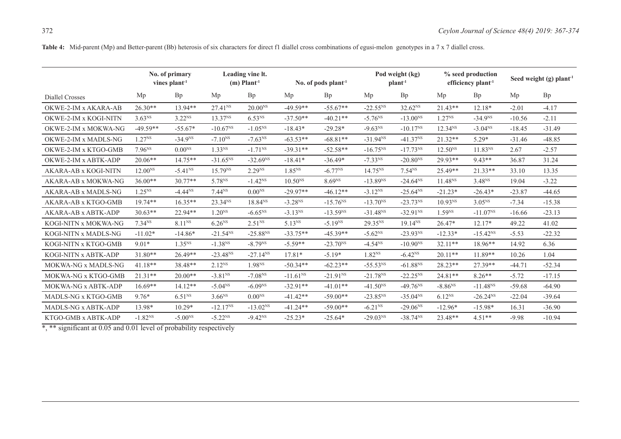Table 4: Mid-parent (Mp) and Better-parent (Bb) heterosis of six characters for direct f1 diallel cross combinations of egusi-melon genotypes in a 7 x 7 diallel cross.

|                       | No. of primary<br>vines plant <sup>-1</sup> |                    | Leading vine lt.<br>$(m)$ Plant <sup>-1</sup> |                     | No. of pods plant <sup>-1</sup> |                    | Pod weight (kg)<br>$plant-1$ |               | % seed production<br>efficiency plant <sup>1</sup> |                     | Seed weight (g) plant <sup>-1</sup> |          |
|-----------------------|---------------------------------------------|--------------------|-----------------------------------------------|---------------------|---------------------------------|--------------------|------------------------------|---------------|----------------------------------------------------|---------------------|-------------------------------------|----------|
| Diallel Crosses       | Mp                                          | Bp                 | Mp                                            | Bp                  | Mp                              | <b>Bp</b>          | Mp                           | Bp            | Mp                                                 | Bp                  | Mp                                  | Bp       |
| OKWE-2-IM x AKARA-AB  | $26.30**$                                   | $13.94**$          | 27.41 <sup>NS</sup>                           | $20.00^{NS}$        | $-49.59**$                      | $-55.67**$         | $-22.55^{NS}$                | $32.62^{NS}$  | $21.43**$                                          | $12.18*$            | $-2.01$                             | $-4.17$  |
| OKWE-2-IM x KOGI-NITN | 3.63 <sup>NS</sup>                          | $3.22^{NS}$        | 13.37 <sup>NS</sup>                           | $6.53^{NS}$         | $-37.50**$                      | $-40.21**$         | $-5.76^{NS}$                 | $-13.00^{NS}$ | $1.27^{NS}$                                        | $-34.9NS$           | $-10.56$                            | $-2.11$  |
| OKWE-2-IM x MOKWA-NG  | $-49.59**$                                  | $-55.67*$          | $-10.67NS$                                    | $-1.05^{NS}$        | $-18.43*$                       | $-29.28*$          | $-9.63^{NS}$                 | $-10.17^{NS}$ | 12.34 <sup>NS</sup>                                | $-3.04NS$           | $-18.45$                            | $-31.49$ |
| OKWE-2-IM x MADLS-NG  | $1.27^{NS}$                                 | $-34.9NS$          | $-7.10^{NS}$                                  | $-7.63^{NS}$        | $-63.53**$                      | $-68.81**$         | $-31.94NS$                   | $-41.37NS$    | $21.32**$                                          | $5.29*$             | $-31.46$                            | $-48.85$ |
| OKWE-2-IM x KTGO-GMB  | $7.96^{NS}$                                 | $0.00^{NS}$        | 1.33 <sup>NS</sup>                            | $-1.71^{NS}$        | $-39.31**$                      | $-52.58**$         | $-16.75^{NS}$                | $-17.73^{NS}$ | $12.50^{NS}$                                       | 11.83 <sup>NS</sup> | 2.67                                | $-2.57$  |
| OKWE-2-IM x ABTK-ADP  | $20.06**$                                   | $14.75**$          | $-31.65^{NS}$                                 | $-32.69^{NS}$       | $-18.41*$                       | $-36.49*$          | $-7.33NS$                    | $-20.80^{NS}$ | $29.93**$                                          | $9.43**$            | 36.87                               | 31.24    |
| AKARA-AB x KOGI-NITN  | $12.00^{NS}$                                | $-5.41NS$          | 15.79 <sup>NS</sup>                           | 2.29 <sup>NS</sup>  | $1.85^{NS}$                     | $-6.77^{NS}$       | $14.75^{NS}$                 | $7.54^{NS}$   | 25.49**                                            | $21.33**$           | 33.10                               | 13.35    |
| AKARA-AB x MOKWA-NG   | $36.00**$                                   | $30.77**$          | 5.78 <sup>NS</sup>                            | $-1.42NS$           | $10.50^{NS}$                    | 8.69 <sup>NS</sup> | $-13.89NS$                   | $-24.64NS$    | 11.48 <sup>NS</sup>                                | $3.48^{NS}$         | 19.04                               | $-3.22$  |
| AKARA-AB x MADLS-NG   | $1.25^{NS}$                                 | $-4.44NS$          | $7.44^{NS}$                                   | $0.00^{NS}$         | $-29.97**$                      | $-46.12**$         | $-3.12^{NS}$                 | $-25.64^{NS}$ | $-21.23*$                                          | $-26.43*$           | $-23.87$                            | $-44.65$ |
| AKARA-AB x KTGO-GMB   | $19.74**$                                   | $16.35**$          | 23.34 <sup>NS</sup>                           | 18.84 <sup>NS</sup> | $-3.28^{NS}$                    | $-15.76^{NS}$      | $-13.70^{NS}$                | $-23.73^{NS}$ | 10.93 <sup>NS</sup>                                | 3.05 <sup>NS</sup>  | $-7.34$                             | $-15.38$ |
| AKARA-AB x ABTK-ADP   | $30.63**$                                   | 22.94**            | $1.20^{NS}$                                   | $-6.65^{NS}$        | $-3.13^{NS}$                    | $-13.59NS$         | $-31.48NS$                   | $-32.91NS$    | 1.59 <sup>NS</sup>                                 | $-11.07^{NS}$       | $-16.66$                            | $-23.13$ |
| KOGI-NITN x MOKWA-NG  | $7.34^{NS}$                                 | 8.11 <sup>NS</sup> | 6.26 <sup>NS</sup>                            | $2.51^{NS}$         | $5.13^{NS}$                     | $-5.19^{NS}$       | 29.35 <sup>NS</sup>          | $19.14^{NS}$  | $26.47*$                                           | $12.17*$            | 49.22                               | 41.02    |
| KOGI-NITN x MADLS-NG  | $-11.02*$                                   | $-14.86*$          | $-21.54NS$                                    | $-25.88^{NS}$       | $-33.75**$                      | $-45.39**$         | $-5.62^{NS}$                 | $-23.93^{NS}$ | $-12.33*$                                          | $-15.42NS$          | $-5.53$                             | $-22.32$ |
| KOGI-NITN x KTGO-GMB  | $9.01*$                                     | $1.35^{NS}$        | $-1.38^{NS}$                                  | $-8.79^{NS}$        | $-5.59**$                       | $-23.70^{NS}$      | $-4.54NS$                    | $-10.90^{NS}$ | $32.11**$                                          | $18.96**$           | 14.92                               | 6.36     |
| KOGI-NITN x ABTK-ADP  | $31.80**$                                   | $26.49**$          | $-23.48^{NS}$                                 | $-27.14^{NS}$       | 17.81*                          | $-5.19*$           | 1.82 <sup>NS</sup>           | $-6.42NS$     | $20.11**$                                          | $11.89**$           | 10.26                               | 1.04     |
| MOKWA-NG x MADLS-NG   | $41.18**$                                   | 38.48**            | $2.12^{NS}$                                   | 1.98 <sup>NS</sup>  | $-50.34**$                      | $-62.23**$         | $-55.53^{NS}$                | $-61.88NS$    | $28.23**$                                          | 27.39**             | $-44.71$                            | $-52.34$ |
| MOKWA-NG x KTGO-GMB   | $21.31**$                                   | $20.00**$          | $-3.81NS$                                     | $-7.08NS$           | $-11.61NS$                      | $-21.91NS$         | $-21.78NS$                   | $-22.25^{NS}$ | $24.81**$                                          | $8.26**$            | $-5.72$                             | $-17.15$ |
| MOKWA-NG x ABTK-ADP   | $16.69**$                                   | $14.12**$          | $-5.04^{NS}$                                  | $-6.09NS$           | $-32.91**$                      | $-41.01**$         | $-41.50^{NS}$                | $-49.76^{NS}$ | $-8.86^{NS}$                                       | $-11.48^{NS}$       | $-59.68$                            | $-64.90$ |
| MADLS-NG x KTGO-GMB   | $9.76*$                                     | $6.51^{NS}$        | $3.66^{NS}$                                   | $0.00^{NS}$         | $-41.42**$                      | $-59.00**$         | $-23.85^{NS}$                | $-35.04NS$    | $6.12^{NS}$                                        | $-26.24NS$          | $-22.04$                            | $-39.64$ |
| MADLS-NG x ABTK-ADP   | 13.98*                                      | $10.29*$           | $-12.17^{NS}$                                 | $-13.02NS$          | $-41.24**$                      | $-59.00**$         | $-6.21NS$                    | $-29.06^{NS}$ | $-12.96*$                                          | $-15.98*$           | 16.31                               | $-36.90$ |
| KTGO-GMB x ABTK-ADP   | $-1.82^{NS}$                                | $-5.00^{NS}$       | $-5.22^{NS}$                                  | $-9.42^{NS}$        | $-25.23*$                       | $-25.64*$          | $-29.03^{NS}$                | $-38.74^{NS}$ | 23.48**                                            | $4.51**$            | $-9.98$                             | $-10.94$ |

\*, \*\* significant at 0.05 and 0.01 level of probability respectively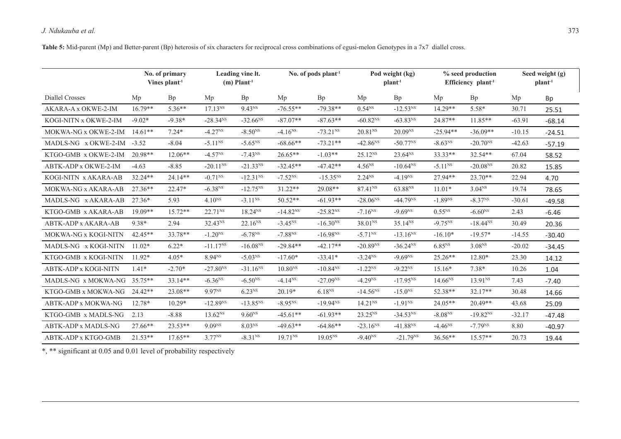**Table 5:** Mid-parent (Mp) and Better-parent (Bp) heterosis of six characters for reciprocal cross combinations of egusi-melon Genotypes in a 7x7 diallel cross.

|                             | No. of primary<br>Vines $plan1$ |           | Leading vine lt.<br>$(m)$ Plant <sup>-1</sup> |                     |              | No. of pods $plant-1$ |                     | Pod weight (kg)<br>plan <sup>1</sup> |                    | % seed production<br>Efficiency plant <sup>1</sup> |          | Seed weight (g)<br>$plant-1$ |  |
|-----------------------------|---------------------------------|-----------|-----------------------------------------------|---------------------|--------------|-----------------------|---------------------|--------------------------------------|--------------------|----------------------------------------------------|----------|------------------------------|--|
| <b>Diallel Crosses</b>      | Mp                              | Bp        | Mp                                            | <b>Bp</b>           | Mp           | Bp                    | Mp                  | Bp                                   | Mp                 | <b>Bp</b>                                          | Mp       | <b>Bp</b>                    |  |
| AKARA-A x OKWE-2-IM         | $16.79**$                       | $5.36**$  | $17.13^{NS}$                                  | 9.43 <sup>NS</sup>  | $-76.55**$   | $-79.38**$            | 0.54 <sup>NS</sup>  | $-12.53^{NS}$                        | $14.29**$          | 5.58*                                              | 30.71    | 25.51                        |  |
| KOGI-NITN x OKWE-2-IM       | $-9.02*$                        | $-9.38*$  | $-28.34^{NS}$                                 | $-32.66^{NS}$       | $-87.07**$   | $-87.63**$            | $-60.82^{NS}$       | $-63.83NS$                           | $24.87**$          | $11.85**$                                          | $-63.91$ | $-68.14$                     |  |
| MOKWA-NG x OKWE-2-IM        | $14.61**$                       | $7.24*$   | $-4.27NS$                                     | $-8.50^{NS}$        | $-4.16NS$    | $-73.21NS$            | 20.81 <sup>NS</sup> | $20.09^{NS}$                         | $-25.94**$         | $-36.09**$                                         | $-10.15$ | $-24.51$                     |  |
| MADLS-NG x OKWE-2-IM        | $-3.52$                         | $-8.04$   | $-5.11^{NS}$                                  | $-5.65^{NS}$        | $-68.66**$   | $-73.21**$            | $-42.86^{NS}$       | $-50.77^{NS}$                        | $-8.63NS$          | $-20.70^{NS}$                                      | $-42.63$ | $-57.19$                     |  |
| KTGO-GMB x OKWE-2-IM        | $20.98**$                       | $12.06**$ | $-4.57NS$                                     | $-7.43NS$           | $26.65**$    | $-1.03**$             | $25.12^{NS}$        | $23.64^{NS}$                         | $33.33**$          | 32.54**                                            | 67.04    | 58.52                        |  |
| ABTK-ADP x OKWE-2-IM        | $-4.63$                         | $-8.85$   | $-20.11^{NS}$                                 | $-21.33^{NS}$       | $-32.45**$   | $-47.42**$            | $4.56^{NS}$         | $-10.64^{NS}$                        | $-5.11^{NS}$       | $-20.08NS$                                         | 20.82    | 15.85                        |  |
| KOGI-NITN x AKARA-AB        | $32.24**$                       | $24.14**$ | $-0.71^{NS}$                                  | $-12.31^{NS}$       | $-7.52^{NS}$ | $-15.35NS$            | $2.24^{NS}$         | $-4.19NS$                            | $27.94**$          | $23.70**$                                          | 22.94    | 4.70                         |  |
| MOKWA-NG x AKARA-AB         | $27.36**$                       | 22.47*    | $-6.38NS$                                     | $-12.75^{NS}$       | $31.22**$    | $29.08**$             | 87.41 <sup>NS</sup> | 63.88 <sup>NS</sup>                  | $11.01*$           | $3.04^{NS}$                                        | 19.74    | 78.65                        |  |
| MADLS-NG x AKARA-AB         | $27.36*$                        | 5.93      | $4.10^{NS}$                                   | $-3.11^{NS}$        | $50.52**$    | $-61.93**$            | $-28.06^{NS}$       | $-44.79NS$                           | $-1.89NS$          | $-8.37NS$                                          | $-30.61$ | $-49.58$                     |  |
| KTGO-GMB x AKARA-AB         | $19.09**$                       | $15.72**$ | 22.71 <sup>NS</sup>                           | $18.24^{NS}$        | $-14.82NS$   | $-25.82^{NS}$         | $-7.16^{NS}$        | $-9.69NS$                            | $0.55^{NS}$        | $-6.60NS$                                          | 2.43     | $-6.46$                      |  |
| ABTK-ADP x AKARA-AB         | 9.38*                           | 2.94      | 32.43 <sup>NS</sup>                           | 22.16 <sup>NS</sup> | $-3.45^{NS}$ | $-16.30NS$            | 38.01 <sup>NS</sup> | 35.14 <sup>NS</sup>                  | $-9.75^{NS}$       | $-18.44^{NS}$                                      | 30.49    | 20.36                        |  |
| MOKWA-NG x KOGI-NITN        | $42.45**$                       | 33.78**   | $-1.20^{NS}$                                  | $-6.78^{NS}$        | $-7.88^{NS}$ | $-16.98^{NS}$         | $-5.71^{NS}$        | $-13.16^{NS}$                        | $-16.10*$          | $-19.57*$                                          | $-14.55$ | $-30.40$                     |  |
| MADLS-NG x KOGI-NITN        | $11.02*$                        | $6.22*$   | $-11.17^{NS}$                                 | $-16.08^{NS}$       | $-29.84**$   | $-42.17**$            | $-20.89^{NS}$       | $-36.24^{NS}$                        | 6.85 <sup>NS</sup> | $3.08^{NS}$                                        | $-20.02$ | $-34.45$                     |  |
| KTGO-GMB x KOGI-NITN        | $11.92*$                        | $4.05*$   | 8.94 <sup>NS</sup>                            | $-5.03NS$           | $-17.60*$    | $-33.41*$             | $-3.24^{NS}$        | $-9.69NS$                            | $25.26**$          | 12.80*                                             | 23.30    | 14.12                        |  |
| <b>ABTK-ADP x KOGI-NITN</b> | $1.41*$                         | $-2.70*$  | $-27.80^{NS}$                                 | $-31.16^{NS}$       | $10.80^{NS}$ | $-10.84NS$            | $-1.22^{NS}$        | $-9.22^{NS}$                         | $15.16*$           | $7.38*$                                            | 10.26    | 1.04                         |  |
| MADLS-NG x MOKWA-NG         | $35.75**$                       | $33.14**$ | $-6.36NS$                                     | $-6.50^{NS}$        | $-4.14^{NS}$ | $-27.09^{NS}$         | $-4.29NS$           | $-17.95^{NS}$                        | $14.66^{NS}$       | 13.91 <sup>NS</sup>                                | 7.43     | $-7.40$                      |  |
| KTGO-GMB x MOKWA-NG         | $24.42**$                       | 23.08**   | 9.97 <sup>NS</sup>                            | 6.23 <sup>NS</sup>  | $20.19*$     | 6.18 <sup>NS</sup>    | $-14.56NS$          | $-15.0^{NS}$                         | 52.38**            | $32.17**$                                          | 30.48    | 14.66                        |  |
| ABTK-ADP x MOKWA-NG         | 12.78*                          | $10.29*$  | $-12.89NS$                                    | $-13.85^{NS}$       | $-8.95^{NS}$ | $-19.94^{NS}$         | 14.21 <sup>NS</sup> | $-1.91NS$                            | $24.05**$          | $20.49**$                                          | 43.68    | 25.09                        |  |
| KTGO-GMB x MADLS-NG         | 2.13                            | $-8.88$   | $13.62^{NS}$                                  | $9.60^{NS}$         | $-45.61**$   | $-61.93**$            | 23.25 <sup>NS</sup> | $-34.53^{NS}$                        | $-8.08^{NS}$       | $-19.82^{NS}$                                      | $-32.17$ | $-47.48$                     |  |
| ABTK-ADP x MADLS-NG         | 27.66**                         | 23.53**   | 9.09 <sup>NS</sup>                            | 8.03 <sup>NS</sup>  | $-49.63**$   | $-64.86**$            | $-23.16^{NS}$       | $-41.88NS$                           | $-4.46NS$          | $-7.79^{NS}$                                       | 8.80     | $-40.97$                     |  |
| ABTK-ADP x KTGO-GMB         | $21.53**$                       | $17.65**$ | 3.77 <sup>NS</sup>                            | $-8.31NS$           | $19.71^{NS}$ | $19.05^{NS}$          | $-9.40^{NS}$        | $-21.79^{NS}$                        | 36.56**            | 15.57**                                            | 20.73    | 19.44                        |  |

\*, \*\* significant at 0.05 and 0.01 level of probability respectively